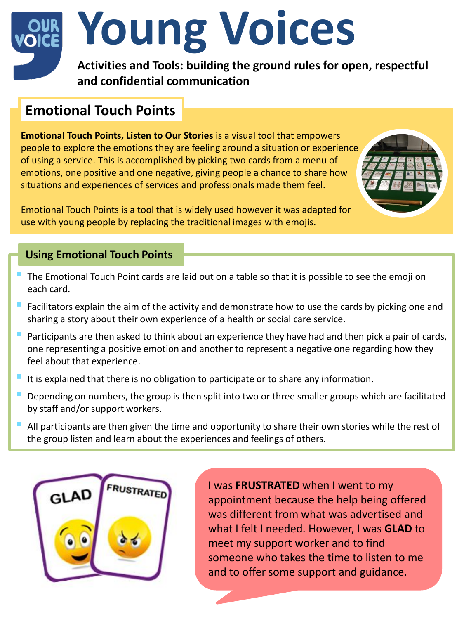# **Young Voices**

**Activities and Tools: building the ground rules for open, respectful and confidential communication**

# **Emotional Touch Points**

**Emotional Touch Points, Listen to Our Stories** is a visual tool that empowers people to explore the emotions they are feeling around a situation or experience of using a service. This is accomplished by picking two cards from a menu of emotions, one positive and one negative, giving people a chance to share how situations and experiences of services and professionals made them feel.

Emotional Touch Points is a tool that is widely used however it was adapted for use with young people by replacing the traditional images with emojis.

## **Using Emotional Touch Points**

- The Emotional Touch Point cards are laid out on a table so that it is possible to see the emoji on each card.
- Facilitators explain the aim of the activity and demonstrate how to use the cards by picking one and sharing a story about their own experience of a health or social care service.
- Participants are then asked to think about an experience they have had and then pick a pair of cards, one representing a positive emotion and another to represent a negative one regarding how they feel about that experience.
- It is explained that there is no obligation to participate or to share any information.
- Depending on numbers, the group is then split into two or three smaller groups which are facilitated by staff and/or support workers.
- All participants are then given the time and opportunity to share their own stories while the rest of the group listen and learn about the experiences and feelings of others.



I was **FRUSTRATED** when I went to my appointment because the help being offered was different from what was advertised and what I felt I needed. However, I was **GLAD** to meet my support worker and to find someone who takes the time to listen to me and to offer some support and guidance.